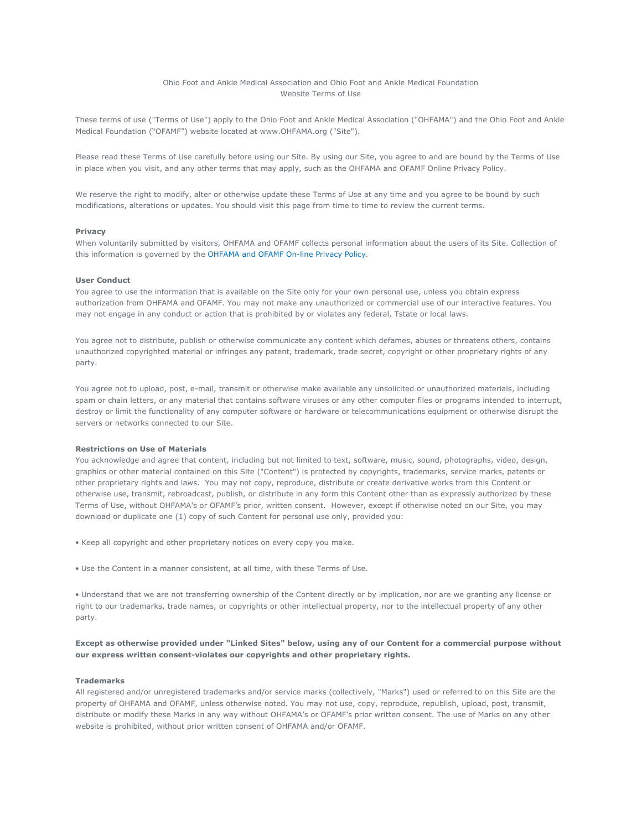# Ohio Foot and Ankle Medical Association and Ohio Foot and Ankle Medical Foundation Website Terms of Use

These terms of use ("Terms of Use") apply to the Ohio Foot and Ankle Medical Association ("OHFAMA") and the Ohio Foot and Ankle Medical Foundation ("OFAMF") website located at www.OHFAMA.org ("Site").

Please read these Terms of Use carefully before using our Site. By using our Site, you agree to and are bound by the Terms of Use in place when you visit, and any other terms that may apply, such as the OHFAMA and OFAMF Online Privacy Policy.

We reserve the right to modify, alter or otherwise update these Terms of Use at any time and you agree to be bound by such modifications, alterations or updates. You should visit this page from time to time to review the current terms.

### Privacy

When voluntarily submitted by visitors, OHFAMA and OFAMF collects personal information about the users of its Site. Collection of this information is governed by the OHFAMA and OFAMF On-line Privacy Policy.

## User Conduct

You agree to use the information that is available on the Site only for your own personal use, unless you obtain express authorization from OHFAMA and OFAMF. You may not make any unauthorized or commercial use of our interactive features. You may not engage in any conduct or action that is prohibited by or violates any federal, Tstate or local laws.

You agree not to distribute, publish or otherwise communicate any content which defames, abuses or threatens others, contains unauthorized copyrighted material or infringes any patent, trademark, trade secret, copyright or other proprietary rights of any party.

You agree not to upload, post, e-mail, transmit or otherwise make available any unsolicited or unauthorized materials, including spam or chain letters, or any material that contains software viruses or any other computer files or programs intended to interrupt, destroy or limit the functionality of any computer software or hardware or telecommunications equipment or otherwise disrupt the servers or networks connected to our Site.

## Restrictions on Use of Materials

You acknowledge and agree that content, including but not limited to text, software, music, sound, photographs, video, design, graphics or other material contained on this Site ("Content") is protected by copyrights, trademarks, service marks, patents or other proprietary rights and laws. You may not copy, reproduce, distribute or create derivative works from this Content or otherwise use, transmit, rebroadcast, publish, or distribute in any form this Content other than as expressly authorized by these Terms of Use, without OHFAMA's or OFAMF's prior, written consent. However, except if otherwise noted on our Site, you may download or duplicate one (1) copy of such Content for personal use only, provided you:

- Keep all copyright and other proprietary notices on every copy you make.
- Use the Content in a manner consistent, at all time, with these Terms of Use.

• Understand that we are not transferring ownership of the Content directly or by implication, nor are we granting any license or right to our trademarks, trade names, or copyrights or other intellectual property, nor to the intellectual property of any other party.

# Except as otherwise provided under "Linked Sites" below, using any of our Content for a commercial purpose without our express written consent-violates our copyrights and other proprietary rights.

#### Trademarks

All registered and/or unregistered trademarks and/or service marks (collectively, "Marks") used or referred to on this Site are the property of OHFAMA and OFAMF, unless otherwise noted. You may not use, copy, reproduce, republish, upload, post, transmit, distribute or modify these Marks in any way without OHFAMA's or OFAMF's prior written consent. The use of Marks on any other website is prohibited, without prior written consent of OHFAMA and/or OFAMF.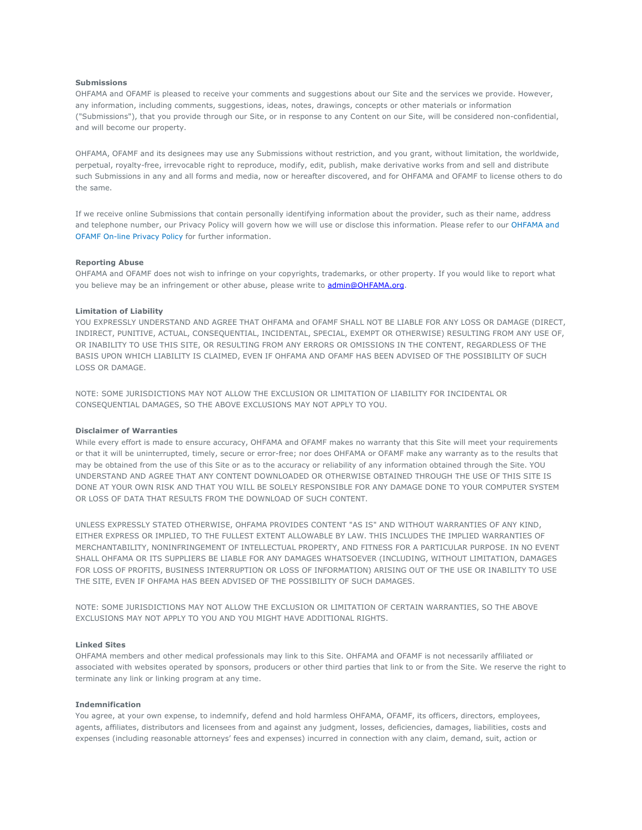#### Submissions

OHFAMA and OFAMF is pleased to receive your comments and suggestions about our Site and the services we provide. However, any information, including comments, suggestions, ideas, notes, drawings, concepts or other materials or information ("Submissions"), that you provide through our Site, or in response to any Content on our Site, will be considered non-confidential, and will become our property.

OHFAMA, OFAMF and its designees may use any Submissions without restriction, and you grant, without limitation, the worldwide, perpetual, royalty-free, irrevocable right to reproduce, modify, edit, publish, make derivative works from and sell and distribute such Submissions in any and all forms and media, now or hereafter discovered, and for OHFAMA and OFAMF to license others to do the same.

If we receive online Submissions that contain personally identifying information about the provider, such as their name, address and telephone number, our Privacy Policy will govern how we will use or disclose this information. Please refer to our OHFAMA and OFAMF On-line Privacy Policy for further information.

#### Reporting Abuse

OHFAMA and OFAMF does not wish to infringe on your copyrights, trademarks, or other property. If you would like to report what you believe may be an infringement or other abuse, please write to admin@OHFAMA.org.

### Limitation of Liability

YOU EXPRESSLY UNDERSTAND AND AGREE THAT OHFAMA and OFAMF SHALL NOT BE LIABLE FOR ANY LOSS OR DAMAGE (DIRECT, INDIRECT, PUNITIVE, ACTUAL, CONSEQUENTIAL, INCIDENTAL, SPECIAL, EXEMPT OR OTHERWISE) RESULTING FROM ANY USE OF, OR INABILITY TO USE THIS SITE, OR RESULTING FROM ANY ERRORS OR OMISSIONS IN THE CONTENT, REGARDLESS OF THE BASIS UPON WHICH LIABILITY IS CLAIMED, EVEN IF OHFAMA AND OFAMF HAS BEEN ADVISED OF THE POSSIBILITY OF SUCH LOSS OR DAMAGE.

NOTE: SOME JURISDICTIONS MAY NOT ALLOW THE EXCLUSION OR LIMITATION OF LIABILITY FOR INCIDENTAL OR CONSEQUENTIAL DAMAGES, SO THE ABOVE EXCLUSIONS MAY NOT APPLY TO YOU.

## Disclaimer of Warranties

While every effort is made to ensure accuracy, OHFAMA and OFAMF makes no warranty that this Site will meet your requirements or that it will be uninterrupted, timely, secure or error-free; nor does OHFAMA or OFAMF make any warranty as to the results that may be obtained from the use of this Site or as to the accuracy or reliability of any information obtained through the Site. YOU UNDERSTAND AND AGREE THAT ANY CONTENT DOWNLOADED OR OTHERWISE OBTAINED THROUGH THE USE OF THIS SITE IS DONE AT YOUR OWN RISK AND THAT YOU WILL BE SOLELY RESPONSIBLE FOR ANY DAMAGE DONE TO YOUR COMPUTER SYSTEM OR LOSS OF DATA THAT RESULTS FROM THE DOWNLOAD OF SUCH CONTENT.

UNLESS EXPRESSLY STATED OTHERWISE, OHFAMA PROVIDES CONTENT "AS IS" AND WITHOUT WARRANTIES OF ANY KIND, EITHER EXPRESS OR IMPLIED, TO THE FULLEST EXTENT ALLOWABLE BY LAW. THIS INCLUDES THE IMPLIED WARRANTIES OF MERCHANTABILITY, NONINFRINGEMENT OF INTELLECTUAL PROPERTY, AND FITNESS FOR A PARTICULAR PURPOSE. IN NO EVENT SHALL OHFAMA OR ITS SUPPLIERS BE LIABLE FOR ANY DAMAGES WHATSOEVER (INCLUDING, WITHOUT LIMITATION, DAMAGES FOR LOSS OF PROFITS, BUSINESS INTERRUPTION OR LOSS OF INFORMATION) ARISING OUT OF THE USE OR INABILITY TO USE THE SITE, EVEN IF OHFAMA HAS BEEN ADVISED OF THE POSSIBILITY OF SUCH DAMAGES.

NOTE: SOME JURISDICTIONS MAY NOT ALLOW THE EXCLUSION OR LIMITATION OF CERTAIN WARRANTIES, SO THE ABOVE EXCLUSIONS MAY NOT APPLY TO YOU AND YOU MIGHT HAVE ADDITIONAL RIGHTS.

### Linked Sites

OHFAMA members and other medical professionals may link to this Site. OHFAMA and OFAMF is not necessarily affiliated or associated with websites operated by sponsors, producers or other third parties that link to or from the Site. We reserve the right to terminate any link or linking program at any time.

#### Indemnification

You agree, at your own expense, to indemnify, defend and hold harmless OHFAMA, OFAMF, its officers, directors, employees, agents, affiliates, distributors and licensees from and against any judgment, losses, deficiencies, damages, liabilities, costs and expenses (including reasonable attorneys' fees and expenses) incurred in connection with any claim, demand, suit, action or